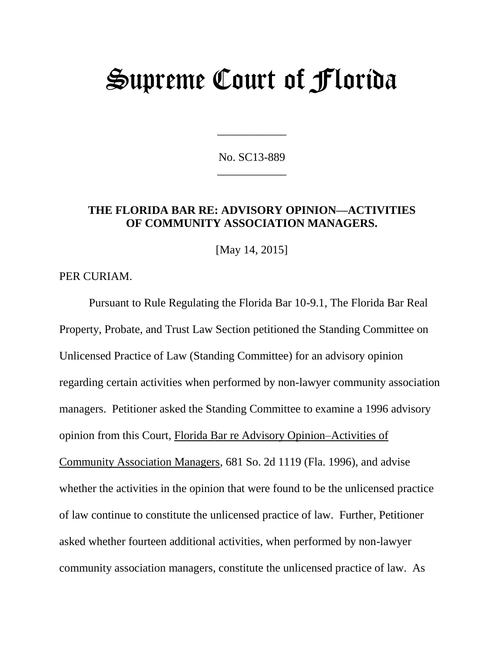# Supreme Court of Florida

No. SC13-889 \_\_\_\_\_\_\_\_\_\_\_\_

\_\_\_\_\_\_\_\_\_\_\_\_

## **THE FLORIDA BAR RE: ADVISORY OPINION—ACTIVITIES OF COMMUNITY ASSOCIATION MANAGERS.**

[May 14, 2015]

PER CURIAM.

Pursuant to Rule Regulating the Florida Bar 10-9.1, The Florida Bar Real Property, Probate, and Trust Law Section petitioned the Standing Committee on Unlicensed Practice of Law (Standing Committee) for an advisory opinion regarding certain activities when performed by non-lawyer community association managers. Petitioner asked the Standing Committee to examine a 1996 advisory opinion from this Court, Florida Bar re Advisory Opinion–Activities of Community Association Managers, 681 So. 2d 1119 (Fla. 1996), and advise whether the activities in the opinion that were found to be the unlicensed practice of law continue to constitute the unlicensed practice of law. Further, Petitioner asked whether fourteen additional activities, when performed by non-lawyer community association managers, constitute the unlicensed practice of law. As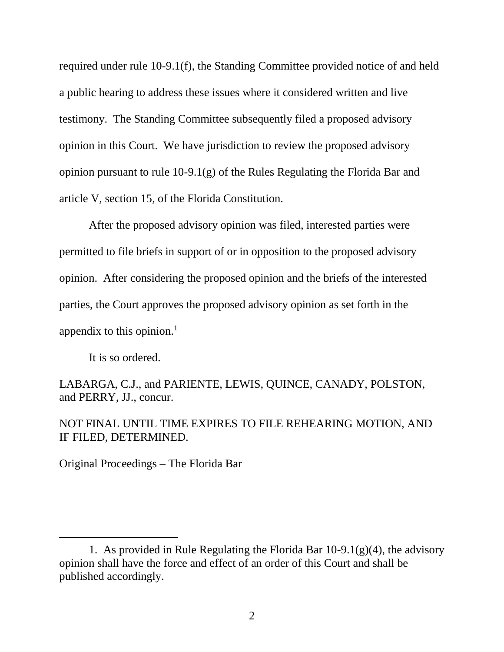required under rule 10-9.1(f), the Standing Committee provided notice of and held a public hearing to address these issues where it considered written and live testimony. The Standing Committee subsequently filed a proposed advisory opinion in this Court. We have jurisdiction to review the proposed advisory opinion pursuant to rule 10-9.1(g) of the Rules Regulating the Florida Bar and article V, section 15, of the Florida Constitution.

After the proposed advisory opinion was filed, interested parties were permitted to file briefs in support of or in opposition to the proposed advisory opinion. After considering the proposed opinion and the briefs of the interested parties, the Court approves the proposed advisory opinion as set forth in the appendix to this opinion. $<sup>1</sup>$ </sup>

It is so ordered.

 $\overline{a}$ 

LABARGA, C.J., and PARIENTE, LEWIS, QUINCE, CANADY, POLSTON, and PERRY, JJ., concur.

NOT FINAL UNTIL TIME EXPIRES TO FILE REHEARING MOTION, AND IF FILED, DETERMINED.

Original Proceedings – The Florida Bar

<sup>1.</sup> As provided in Rule Regulating the Florida Bar  $10-9.1(g)(4)$ , the advisory opinion shall have the force and effect of an order of this Court and shall be published accordingly.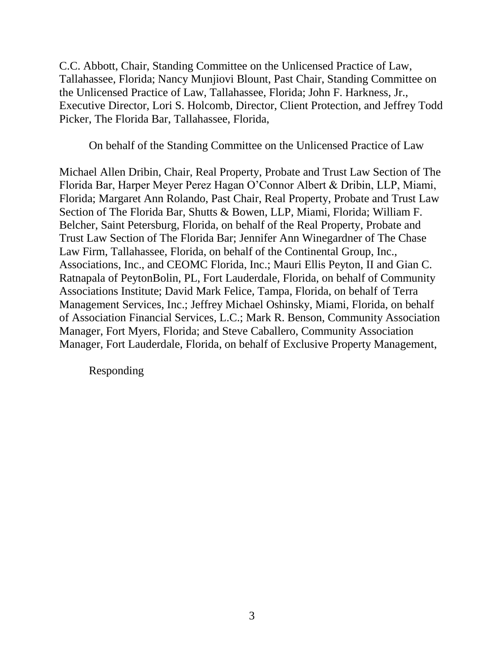C.C. Abbott, Chair, Standing Committee on the Unlicensed Practice of Law, Tallahassee, Florida; Nancy Munjiovi Blount, Past Chair, Standing Committee on the Unlicensed Practice of Law, Tallahassee, Florida; John F. Harkness, Jr., Executive Director, Lori S. Holcomb, Director, Client Protection, and Jeffrey Todd Picker, The Florida Bar, Tallahassee, Florida,

On behalf of the Standing Committee on the Unlicensed Practice of Law

Michael Allen Dribin, Chair, Real Property, Probate and Trust Law Section of The Florida Bar, Harper Meyer Perez Hagan O'Connor Albert & Dribin, LLP, Miami, Florida; Margaret Ann Rolando, Past Chair, Real Property, Probate and Trust Law Section of The Florida Bar, Shutts & Bowen, LLP, Miami, Florida; William F. Belcher, Saint Petersburg, Florida, on behalf of the Real Property, Probate and Trust Law Section of The Florida Bar; Jennifer Ann Winegardner of The Chase Law Firm, Tallahassee, Florida, on behalf of the Continental Group, Inc., Associations, Inc., and CEOMC Florida, Inc.; Mauri Ellis Peyton, II and Gian C. Ratnapala of PeytonBolin, PL, Fort Lauderdale, Florida, on behalf of Community Associations Institute; David Mark Felice, Tampa, Florida, on behalf of Terra Management Services, Inc.; Jeffrey Michael Oshinsky, Miami, Florida, on behalf of Association Financial Services, L.C.; Mark R. Benson, Community Association Manager, Fort Myers, Florida; and Steve Caballero, Community Association Manager, Fort Lauderdale, Florida, on behalf of Exclusive Property Management,

Responding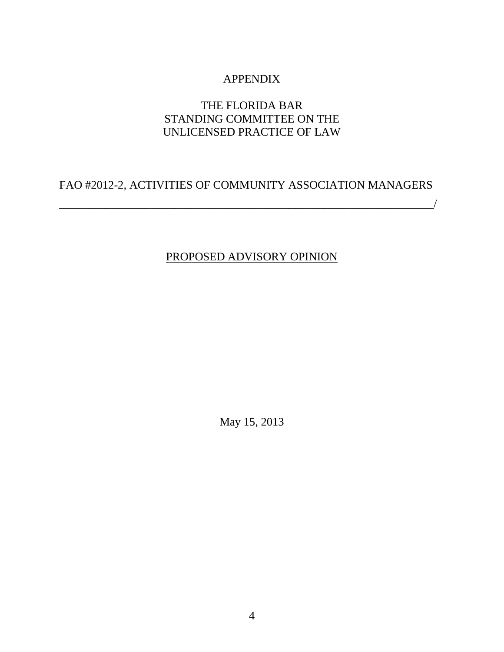# APPENDIX

# THE FLORIDA BAR STANDING COMMITTEE ON THE UNLICENSED PRACTICE OF LAW

# FAO #2012-2, ACTIVITIES OF COMMUNITY ASSOCIATION MANAGERS

# PROPOSED ADVISORY OPINION

\_\_\_\_\_\_\_\_\_\_\_\_\_\_\_\_\_\_\_\_\_\_\_\_\_\_\_\_\_\_\_\_\_\_\_\_\_\_\_\_\_\_\_\_\_\_\_\_\_\_\_\_\_\_\_\_\_\_\_\_\_\_\_\_\_/

May 15, 2013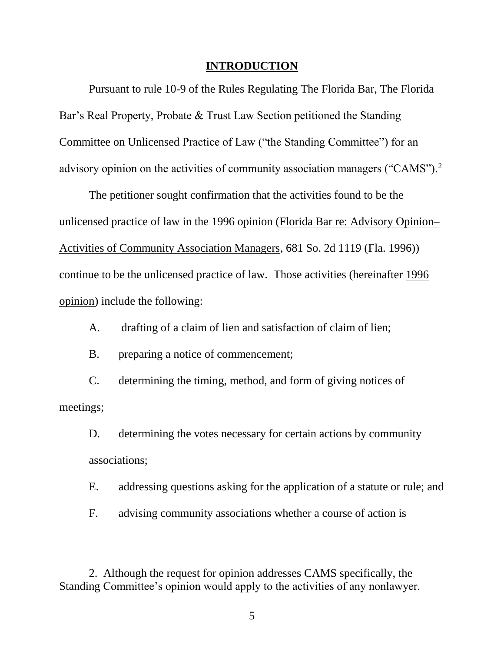#### **INTRODUCTION**

Pursuant to rule 10-9 of the Rules Regulating The Florida Bar, The Florida Bar's Real Property, Probate & Trust Law Section petitioned the Standing Committee on Unlicensed Practice of Law ("the Standing Committee") for an advisory opinion on the activities of community association managers ("CAMS").<sup>2</sup>

The petitioner sought confirmation that the activities found to be the unlicensed practice of law in the 1996 opinion (Florida Bar re: Advisory Opinion– Activities of Community Association Managers, 681 So. 2d 1119 (Fla. 1996)) continue to be the unlicensed practice of law. Those activities (hereinafter 1996 opinion) include the following:

A. drafting of a claim of lien and satisfaction of claim of lien;

B. preparing a notice of commencement;

 $\overline{a}$ 

C. determining the timing, method, and form of giving notices of meetings;

D. determining the votes necessary for certain actions by community associations;

E. addressing questions asking for the application of a statute or rule; and

F. advising community associations whether a course of action is

<sup>2.</sup> Although the request for opinion addresses CAMS specifically, the Standing Committee's opinion would apply to the activities of any nonlawyer.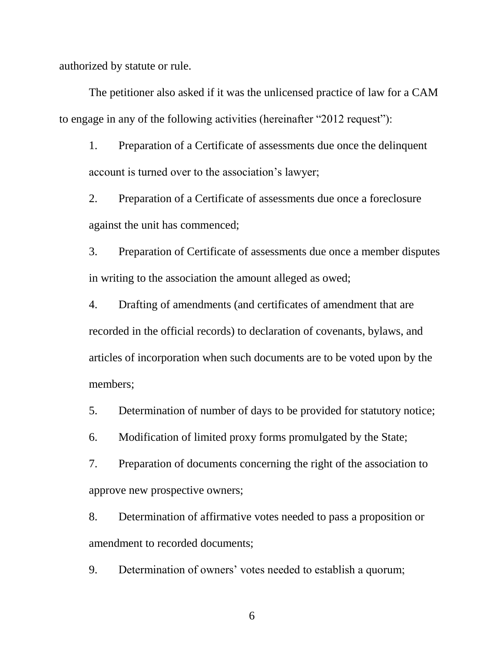authorized by statute or rule.

The petitioner also asked if it was the unlicensed practice of law for a CAM to engage in any of the following activities (hereinafter "2012 request"):

1. Preparation of a Certificate of assessments due once the delinquent account is turned over to the association's lawyer;

2. Preparation of a Certificate of assessments due once a foreclosure against the unit has commenced;

3. Preparation of Certificate of assessments due once a member disputes in writing to the association the amount alleged as owed;

4. Drafting of amendments (and certificates of amendment that are recorded in the official records) to declaration of covenants, bylaws, and articles of incorporation when such documents are to be voted upon by the members;

5. Determination of number of days to be provided for statutory notice;

6. Modification of limited proxy forms promulgated by the State;

7. Preparation of documents concerning the right of the association to approve new prospective owners;

8. Determination of affirmative votes needed to pass a proposition or amendment to recorded documents;

9. Determination of owners' votes needed to establish a quorum;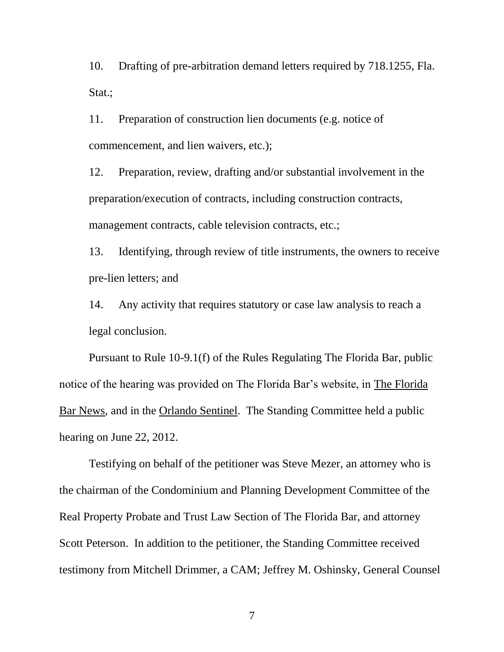10. Drafting of pre-arbitration demand letters required by 718.1255, Fla. Stat.;

11. Preparation of construction lien documents (e.g. notice of commencement, and lien waivers, etc.);

12. Preparation, review, drafting and/or substantial involvement in the preparation/execution of contracts, including construction contracts, management contracts, cable television contracts, etc.;

13. Identifying, through review of title instruments, the owners to receive pre-lien letters; and

14. Any activity that requires statutory or case law analysis to reach a legal conclusion.

Pursuant to Rule 10-9.1(f) of the Rules Regulating The Florida Bar, public notice of the hearing was provided on The Florida Bar's website, in The Florida Bar News, and in the Orlando Sentinel. The Standing Committee held a public hearing on June 22, 2012.

Testifying on behalf of the petitioner was Steve Mezer, an attorney who is the chairman of the Condominium and Planning Development Committee of the Real Property Probate and Trust Law Section of The Florida Bar, and attorney Scott Peterson. In addition to the petitioner, the Standing Committee received testimony from Mitchell Drimmer, a CAM; Jeffrey M. Oshinsky, General Counsel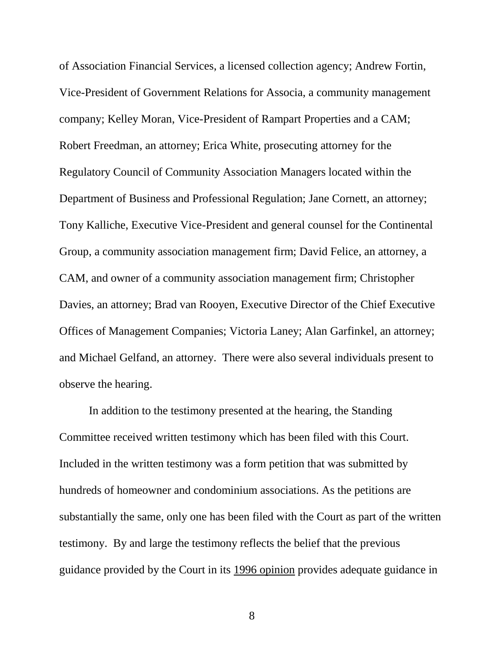of Association Financial Services, a licensed collection agency; Andrew Fortin, Vice-President of Government Relations for Associa, a community management company; Kelley Moran, Vice-President of Rampart Properties and a CAM; Robert Freedman, an attorney; Erica White, prosecuting attorney for the Regulatory Council of Community Association Managers located within the Department of Business and Professional Regulation; Jane Cornett, an attorney; Tony Kalliche, Executive Vice-President and general counsel for the Continental Group, a community association management firm; David Felice, an attorney, a CAM, and owner of a community association management firm; Christopher Davies, an attorney; Brad van Rooyen, Executive Director of the Chief Executive Offices of Management Companies; Victoria Laney; Alan Garfinkel, an attorney; and Michael Gelfand, an attorney. There were also several individuals present to observe the hearing.

In addition to the testimony presented at the hearing, the Standing Committee received written testimony which has been filed with this Court. Included in the written testimony was a form petition that was submitted by hundreds of homeowner and condominium associations. As the petitions are substantially the same, only one has been filed with the Court as part of the written testimony. By and large the testimony reflects the belief that the previous guidance provided by the Court in its 1996 opinion provides adequate guidance in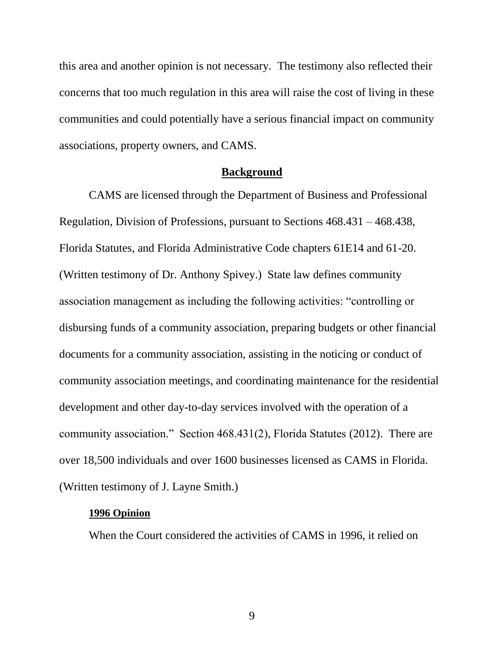this area and another opinion is not necessary. The testimony also reflected their concerns that too much regulation in this area will raise the cost of living in these communities and could potentially have a serious financial impact on community associations, property owners, and CAMS.

#### **Background**

CAMS are licensed through the Department of Business and Professional Regulation, Division of Professions, pursuant to Sections 468.431 – 468.438, Florida Statutes, and Florida Administrative Code chapters 61E14 and 61-20. (Written testimony of Dr. Anthony Spivey.) State law defines community association management as including the following activities: "controlling or disbursing funds of a community association, preparing budgets or other financial documents for a community association, assisting in the noticing or conduct of community association meetings, and coordinating maintenance for the residential development and other day-to-day services involved with the operation of a community association." Section 468.431(2), Florida Statutes (2012). There are over 18,500 individuals and over 1600 businesses licensed as CAMS in Florida. (Written testimony of J. Layne Smith.)

#### **1996 Opinion**

When the Court considered the activities of CAMS in 1996, it relied on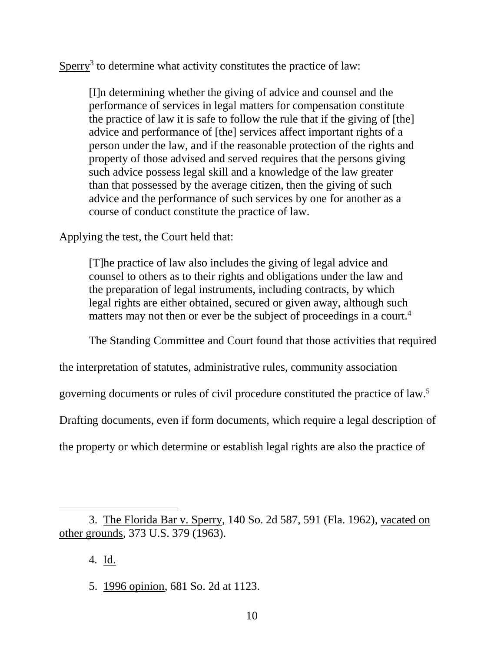$Sperry<sup>3</sup>$  to determine what activity constitutes the practice of law:

[I]n determining whether the giving of advice and counsel and the performance of services in legal matters for compensation constitute the practice of law it is safe to follow the rule that if the giving of [the] advice and performance of [the] services affect important rights of a person under the law, and if the reasonable protection of the rights and property of those advised and served requires that the persons giving such advice possess legal skill and a knowledge of the law greater than that possessed by the average citizen, then the giving of such advice and the performance of such services by one for another as a course of conduct constitute the practice of law.

Applying the test, the Court held that:

[T]he practice of law also includes the giving of legal advice and counsel to others as to their rights and obligations under the law and the preparation of legal instruments, including contracts, by which legal rights are either obtained, secured or given away, although such matters may not then or ever be the subject of proceedings in a court.<sup>4</sup>

The Standing Committee and Court found that those activities that required

the interpretation of statutes, administrative rules, community association

governing documents or rules of civil procedure constituted the practice of law.<sup>5</sup>

Drafting documents, even if form documents, which require a legal description of

the property or which determine or establish legal rights are also the practice of

4*.* Id.

l

5. 1996 opinion, 681 So. 2d at 1123.

<sup>3.</sup> The Florida Bar v. Sperry, 140 So. 2d 587, 591 (Fla. 1962), vacated on other grounds, 373 U.S. 379 (1963).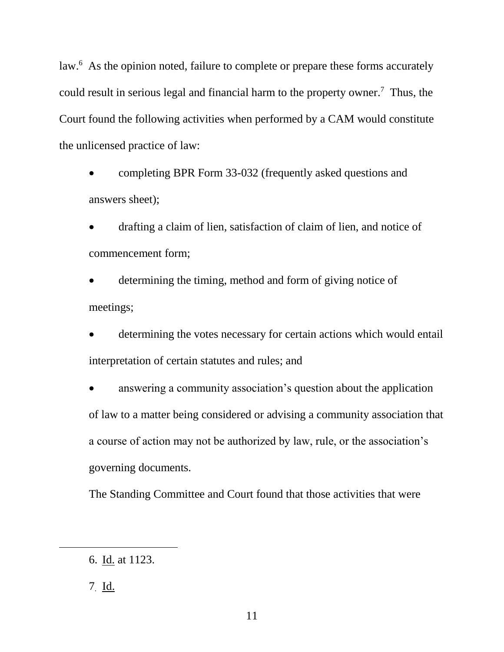law.<sup>6</sup> As the opinion noted, failure to complete or prepare these forms accurately could result in serious legal and financial harm to the property owner.<sup>7</sup> Thus, the Court found the following activities when performed by a CAM would constitute the unlicensed practice of law:

 completing BPR Form 33-032 (frequently asked questions and answers sheet);

 drafting a claim of lien, satisfaction of claim of lien, and notice of commencement form;

 determining the timing, method and form of giving notice of meetings;

 determining the votes necessary for certain actions which would entail interpretation of certain statutes and rules; and

 answering a community association's question about the application of law to a matter being considered or advising a community association that a course of action may not be authorized by law, rule, or the association's governing documents.

The Standing Committee and Court found that those activities that were

7. Id.

<sup>6.</sup> Id. at 1123.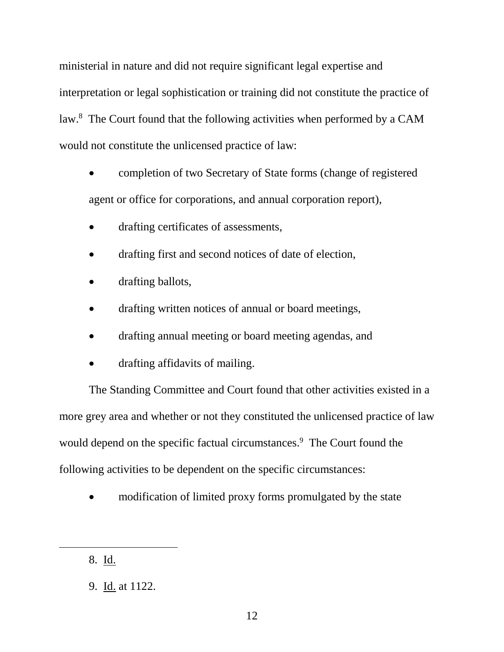ministerial in nature and did not require significant legal expertise and interpretation or legal sophistication or training did not constitute the practice of law.<sup>8</sup> The Court found that the following activities when performed by a CAM would not constitute the unlicensed practice of law:

 completion of two Secretary of State forms (change of registered agent or office for corporations, and annual corporation report),

- drafting certificates of assessments,
- drafting first and second notices of date of election,
- drafting ballots,
- drafting written notices of annual or board meetings,
- drafting annual meeting or board meeting agendas, and
- drafting affidavits of mailing.

The Standing Committee and Court found that other activities existed in a more grey area and whether or not they constituted the unlicensed practice of law would depend on the specific factual circumstances.<sup>9</sup> The Court found the following activities to be dependent on the specific circumstances:

• modification of limited proxy forms promulgated by the state

<sup>8.</sup> Id.

<sup>9.</sup> Id. at 1122.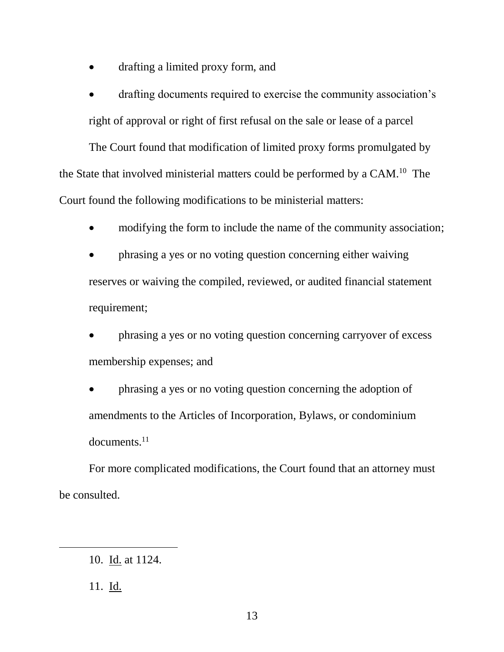drafting a limited proxy form, and

 drafting documents required to exercise the community association's right of approval or right of first refusal on the sale or lease of a parcel

The Court found that modification of limited proxy forms promulgated by the State that involved ministerial matters could be performed by a CAM.<sup>10</sup> The Court found the following modifications to be ministerial matters:

• modifying the form to include the name of the community association;

 phrasing a yes or no voting question concerning either waiving reserves or waiving the compiled, reviewed, or audited financial statement requirement;

- phrasing a yes or no voting question concerning carryover of excess membership expenses; and
- phrasing a yes or no voting question concerning the adoption of amendments to the Articles of Incorporation, Bylaws, or condominium documents.<sup>11</sup>

For more complicated modifications, the Court found that an attorney must be consulted.

11. Id.

<sup>10.</sup> Id. at 1124.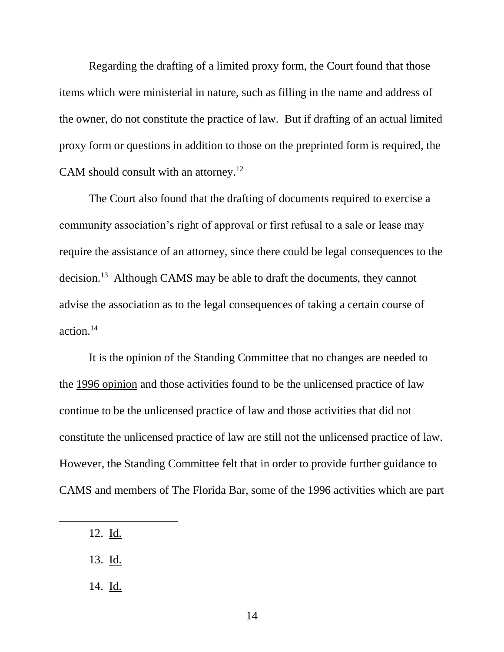Regarding the drafting of a limited proxy form, the Court found that those items which were ministerial in nature, such as filling in the name and address of the owner, do not constitute the practice of law. But if drafting of an actual limited proxy form or questions in addition to those on the preprinted form is required, the CAM should consult with an attorney.<sup>12</sup>

The Court also found that the drafting of documents required to exercise a community association's right of approval or first refusal to a sale or lease may require the assistance of an attorney, since there could be legal consequences to the decision.<sup>13</sup> Although CAMS may be able to draft the documents, they cannot advise the association as to the legal consequences of taking a certain course of action.<sup>14</sup>

It is the opinion of the Standing Committee that no changes are needed to the 1996 opinion and those activities found to be the unlicensed practice of law continue to be the unlicensed practice of law and those activities that did not constitute the unlicensed practice of law are still not the unlicensed practice of law. However, the Standing Committee felt that in order to provide further guidance to CAMS and members of The Florida Bar, some of the 1996 activities which are part

12. Id.

 $\overline{a}$ 

13. Id.

14. Id.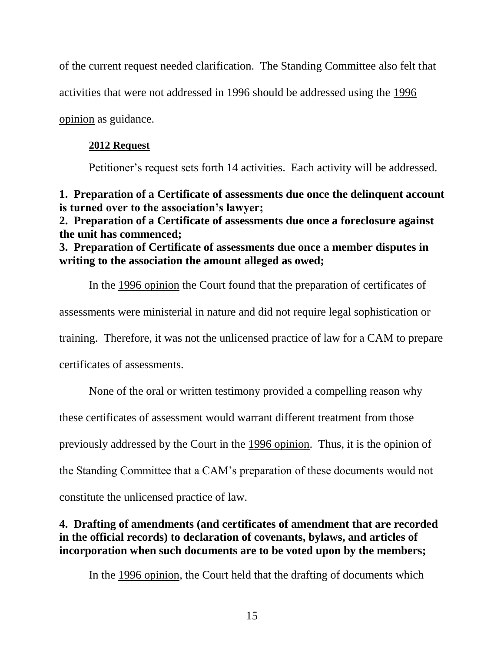of the current request needed clarification. The Standing Committee also felt that activities that were not addressed in 1996 should be addressed using the 1996 opinion as guidance.

#### **2012 Request**

Petitioner's request sets forth 14 activities. Each activity will be addressed.

**1. Preparation of a Certificate of assessments due once the delinquent account is turned over to the association's lawyer;**

**2. Preparation of a Certificate of assessments due once a foreclosure against the unit has commenced;**

**3. Preparation of Certificate of assessments due once a member disputes in writing to the association the amount alleged as owed;**

In the 1996 opinion the Court found that the preparation of certificates of assessments were ministerial in nature and did not require legal sophistication or training. Therefore, it was not the unlicensed practice of law for a CAM to prepare certificates of assessments.

None of the oral or written testimony provided a compelling reason why

these certificates of assessment would warrant different treatment from those

previously addressed by the Court in the 1996 opinion. Thus, it is the opinion of

the Standing Committee that a CAM's preparation of these documents would not

constitute the unlicensed practice of law.

# **4. Drafting of amendments (and certificates of amendment that are recorded in the official records) to declaration of covenants, bylaws, and articles of incorporation when such documents are to be voted upon by the members;**

In the 1996 opinion, the Court held that the drafting of documents which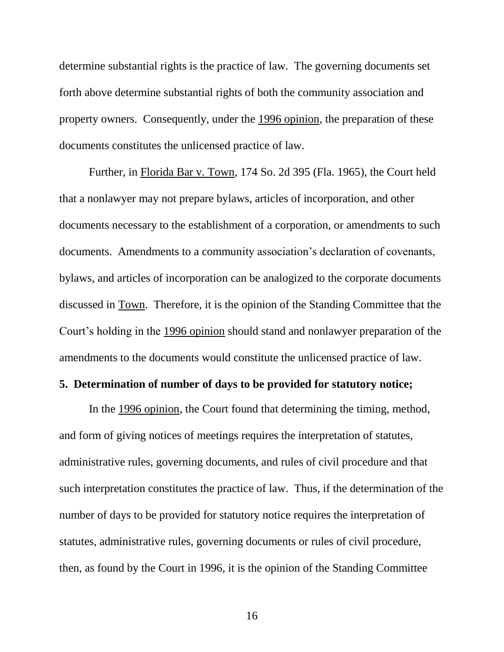determine substantial rights is the practice of law. The governing documents set forth above determine substantial rights of both the community association and property owners. Consequently, under the 1996 opinion, the preparation of these documents constitutes the unlicensed practice of law.

Further, in Florida Bar v. Town, 174 So. 2d 395 (Fla. 1965), the Court held that a nonlawyer may not prepare bylaws, articles of incorporation, and other documents necessary to the establishment of a corporation, or amendments to such documents. Amendments to a community association's declaration of covenants, bylaws, and articles of incorporation can be analogized to the corporate documents discussed in Town. Therefore, it is the opinion of the Standing Committee that the Court's holding in the 1996 opinion should stand and nonlawyer preparation of the amendments to the documents would constitute the unlicensed practice of law.

#### **5. Determination of number of days to be provided for statutory notice;**

In the 1996 opinion, the Court found that determining the timing, method, and form of giving notices of meetings requires the interpretation of statutes, administrative rules, governing documents, and rules of civil procedure and that such interpretation constitutes the practice of law. Thus, if the determination of the number of days to be provided for statutory notice requires the interpretation of statutes, administrative rules, governing documents or rules of civil procedure, then, as found by the Court in 1996, it is the opinion of the Standing Committee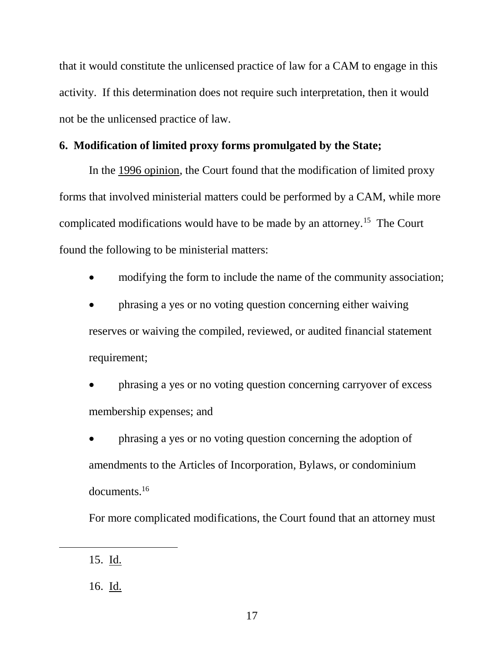that it would constitute the unlicensed practice of law for a CAM to engage in this activity. If this determination does not require such interpretation, then it would not be the unlicensed practice of law.

### **6. Modification of limited proxy forms promulgated by the State;**

In the 1996 opinion, the Court found that the modification of limited proxy forms that involved ministerial matters could be performed by a CAM, while more complicated modifications would have to be made by an attorney.<sup>15</sup> The Court found the following to be ministerial matters:

• modifying the form to include the name of the community association;

 phrasing a yes or no voting question concerning either waiving reserves or waiving the compiled, reviewed, or audited financial statement requirement;

 phrasing a yes or no voting question concerning carryover of excess membership expenses; and

 phrasing a yes or no voting question concerning the adoption of amendments to the Articles of Incorporation, Bylaws, or condominium documents.<sup>16</sup>

For more complicated modifications, the Court found that an attorney must

 $\overline{a}$ 

16. Id.

<sup>15.</sup> Id.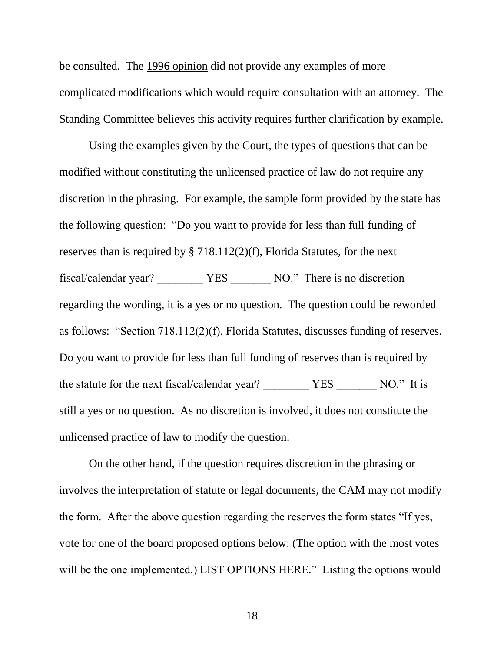be consulted. The 1996 opinion did not provide any examples of more complicated modifications which would require consultation with an attorney. The Standing Committee believes this activity requires further clarification by example.

Using the examples given by the Court, the types of questions that can be modified without constituting the unlicensed practice of law do not require any discretion in the phrasing. For example, the sample form provided by the state has the following question: "Do you want to provide for less than full funding of reserves than is required by § 718.112(2)(f), Florida Statutes, for the next fiscal/calendar year? \_\_\_\_\_\_\_\_ YES \_\_\_\_\_\_\_ NO." There is no discretion regarding the wording, it is a yes or no question. The question could be reworded as follows: "Section 718.112(2)(f), Florida Statutes, discusses funding of reserves. Do you want to provide for less than full funding of reserves than is required by the statute for the next fiscal/calendar year? \_\_\_\_\_\_\_\_\_\_ YES \_\_\_\_\_\_\_\_ NO." It is still a yes or no question. As no discretion is involved, it does not constitute the unlicensed practice of law to modify the question.

On the other hand, if the question requires discretion in the phrasing or involves the interpretation of statute or legal documents, the CAM may not modify the form. After the above question regarding the reserves the form states "If yes, vote for one of the board proposed options below: (The option with the most votes will be the one implemented.) LIST OPTIONS HERE." Listing the options would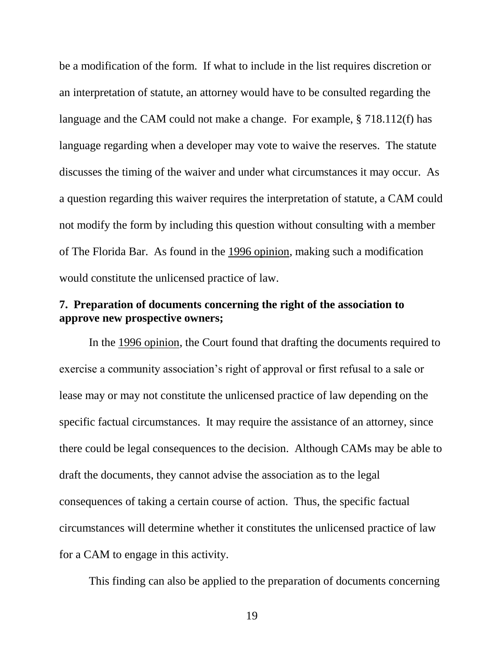be a modification of the form. If what to include in the list requires discretion or an interpretation of statute, an attorney would have to be consulted regarding the language and the CAM could not make a change. For example, § 718.112(f) has language regarding when a developer may vote to waive the reserves. The statute discusses the timing of the waiver and under what circumstances it may occur. As a question regarding this waiver requires the interpretation of statute, a CAM could not modify the form by including this question without consulting with a member of The Florida Bar. As found in the 1996 opinion, making such a modification would constitute the unlicensed practice of law.

## **7. Preparation of documents concerning the right of the association to approve new prospective owners;**

In the 1996 opinion, the Court found that drafting the documents required to exercise a community association's right of approval or first refusal to a sale or lease may or may not constitute the unlicensed practice of law depending on the specific factual circumstances. It may require the assistance of an attorney, since there could be legal consequences to the decision. Although CAMs may be able to draft the documents, they cannot advise the association as to the legal consequences of taking a certain course of action. Thus, the specific factual circumstances will determine whether it constitutes the unlicensed practice of law for a CAM to engage in this activity.

This finding can also be applied to the preparation of documents concerning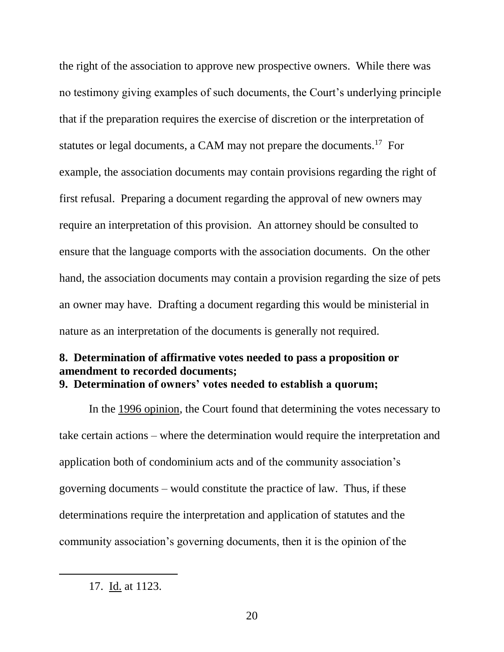the right of the association to approve new prospective owners. While there was no testimony giving examples of such documents, the Court's underlying principle that if the preparation requires the exercise of discretion or the interpretation of statutes or legal documents, a CAM may not prepare the documents.<sup>17</sup> For example, the association documents may contain provisions regarding the right of first refusal. Preparing a document regarding the approval of new owners may require an interpretation of this provision. An attorney should be consulted to ensure that the language comports with the association documents. On the other hand, the association documents may contain a provision regarding the size of pets an owner may have. Drafting a document regarding this would be ministerial in nature as an interpretation of the documents is generally not required.

#### **8. Determination of affirmative votes needed to pass a proposition or amendment to recorded documents; 9. Determination of owners' votes needed to establish a quorum;**

In the 1996 opinion, the Court found that determining the votes necessary to take certain actions – where the determination would require the interpretation and application both of condominium acts and of the community association's governing documents – would constitute the practice of law. Thus, if these determinations require the interpretation and application of statutes and the community association's governing documents, then it is the opinion of the

<sup>17.</sup> Id. at 1123.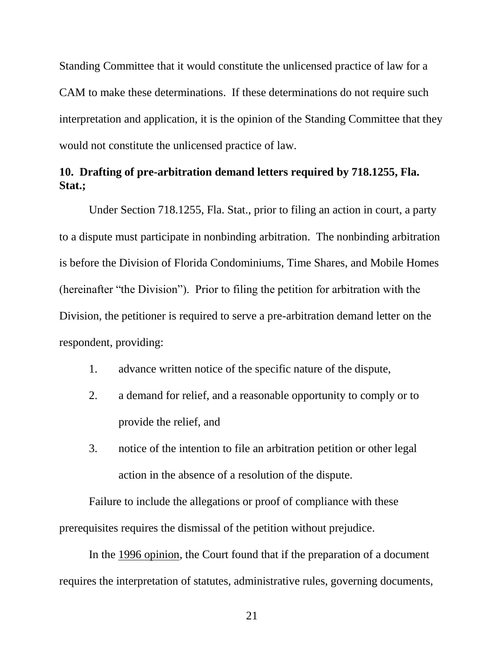Standing Committee that it would constitute the unlicensed practice of law for a CAM to make these determinations. If these determinations do not require such interpretation and application, it is the opinion of the Standing Committee that they would not constitute the unlicensed practice of law.

## **10. Drafting of pre-arbitration demand letters required by 718.1255, Fla. Stat.;**

Under Section 718.1255, Fla. Stat., prior to filing an action in court, a party to a dispute must participate in nonbinding arbitration. The nonbinding arbitration is before the Division of Florida Condominiums, Time Shares, and Mobile Homes (hereinafter "the Division"). Prior to filing the petition for arbitration with the Division, the petitioner is required to serve a pre-arbitration demand letter on the respondent, providing:

- 1. advance written notice of the specific nature of the dispute,
- 2. a demand for relief, and a reasonable opportunity to comply or to provide the relief, and
- 3. notice of the intention to file an arbitration petition or other legal action in the absence of a resolution of the dispute.

Failure to include the allegations or proof of compliance with these prerequisites requires the dismissal of the petition without prejudice.

In the 1996 opinion, the Court found that if the preparation of a document requires the interpretation of statutes, administrative rules, governing documents,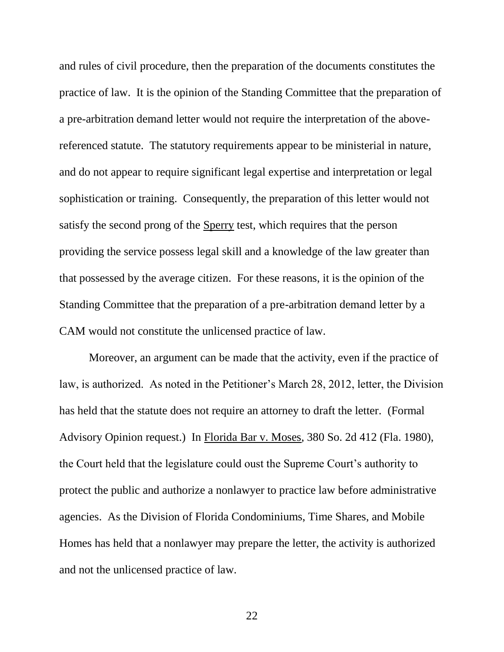and rules of civil procedure, then the preparation of the documents constitutes the practice of law. It is the opinion of the Standing Committee that the preparation of a pre-arbitration demand letter would not require the interpretation of the abovereferenced statute. The statutory requirements appear to be ministerial in nature, and do not appear to require significant legal expertise and interpretation or legal sophistication or training. Consequently, the preparation of this letter would not satisfy the second prong of the Sperry test, which requires that the person providing the service possess legal skill and a knowledge of the law greater than that possessed by the average citizen. For these reasons, it is the opinion of the Standing Committee that the preparation of a pre-arbitration demand letter by a CAM would not constitute the unlicensed practice of law.

Moreover, an argument can be made that the activity, even if the practice of law, is authorized. As noted in the Petitioner's March 28, 2012, letter, the Division has held that the statute does not require an attorney to draft the letter. (Formal Advisory Opinion request.) In Florida Bar v. Moses, 380 So. 2d 412 (Fla. 1980), the Court held that the legislature could oust the Supreme Court's authority to protect the public and authorize a nonlawyer to practice law before administrative agencies. As the Division of Florida Condominiums, Time Shares, and Mobile Homes has held that a nonlawyer may prepare the letter, the activity is authorized and not the unlicensed practice of law.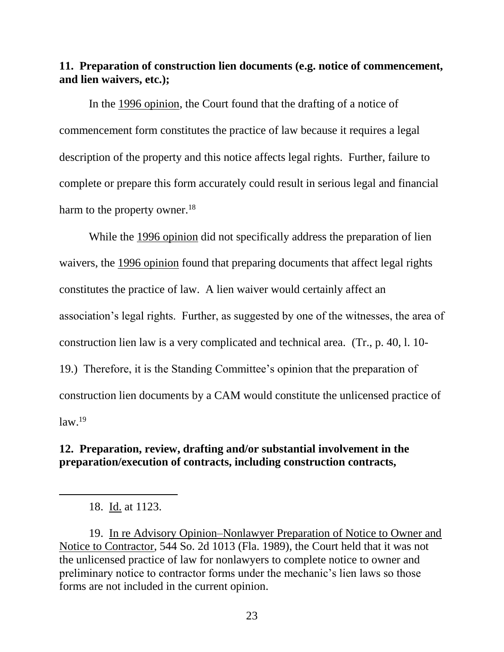**11. Preparation of construction lien documents (e.g. notice of commencement, and lien waivers, etc.);** 

In the 1996 opinion, the Court found that the drafting of a notice of commencement form constitutes the practice of law because it requires a legal description of the property and this notice affects legal rights. Further, failure to complete or prepare this form accurately could result in serious legal and financial harm to the property owner.<sup>18</sup>

While the 1996 opinion did not specifically address the preparation of lien waivers, the 1996 opinion found that preparing documents that affect legal rights constitutes the practice of law. A lien waiver would certainly affect an association's legal rights. Further, as suggested by one of the witnesses, the area of construction lien law is a very complicated and technical area. (Tr., p. 40, l. 10- 19.) Therefore, it is the Standing Committee's opinion that the preparation of construction lien documents by a CAM would constitute the unlicensed practice of  $law.<sup>19</sup>$ 

#### **12. Preparation, review, drafting and/or substantial involvement in the preparation/execution of contracts, including construction contracts,**

18. Id. at 1123.

l

19. In re Advisory Opinion–Nonlawyer Preparation of Notice to Owner and Notice to Contractor, 544 So. 2d 1013 (Fla. 1989), the Court held that it was not the unlicensed practice of law for nonlawyers to complete notice to owner and preliminary notice to contractor forms under the mechanic's lien laws so those forms are not included in the current opinion.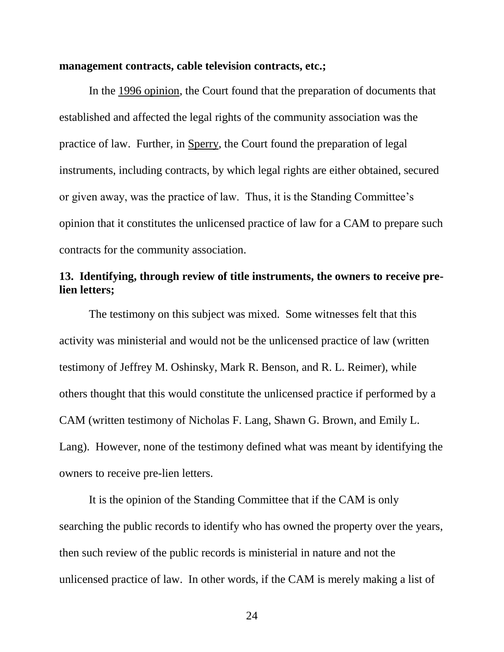#### **management contracts, cable television contracts, etc.;**

In the 1996 opinion, the Court found that the preparation of documents that established and affected the legal rights of the community association was the practice of law. Further, in Sperry, the Court found the preparation of legal instruments, including contracts, by which legal rights are either obtained, secured or given away, was the practice of law. Thus, it is the Standing Committee's opinion that it constitutes the unlicensed practice of law for a CAM to prepare such contracts for the community association.

## **13. Identifying, through review of title instruments, the owners to receive prelien letters;**

The testimony on this subject was mixed. Some witnesses felt that this activity was ministerial and would not be the unlicensed practice of law (written testimony of Jeffrey M. Oshinsky, Mark R. Benson, and R. L. Reimer), while others thought that this would constitute the unlicensed practice if performed by a CAM (written testimony of Nicholas F. Lang, Shawn G. Brown, and Emily L. Lang). However, none of the testimony defined what was meant by identifying the owners to receive pre-lien letters.

It is the opinion of the Standing Committee that if the CAM is only searching the public records to identify who has owned the property over the years, then such review of the public records is ministerial in nature and not the unlicensed practice of law. In other words, if the CAM is merely making a list of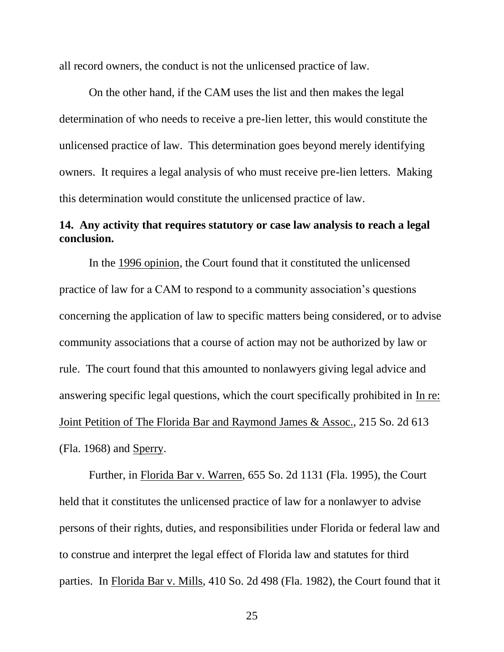all record owners, the conduct is not the unlicensed practice of law.

On the other hand, if the CAM uses the list and then makes the legal determination of who needs to receive a pre-lien letter, this would constitute the unlicensed practice of law. This determination goes beyond merely identifying owners. It requires a legal analysis of who must receive pre-lien letters. Making this determination would constitute the unlicensed practice of law.

## **14. Any activity that requires statutory or case law analysis to reach a legal conclusion.**

In the 1996 opinion, the Court found that it constituted the unlicensed practice of law for a CAM to respond to a community association's questions concerning the application of law to specific matters being considered, or to advise community associations that a course of action may not be authorized by law or rule. The court found that this amounted to nonlawyers giving legal advice and answering specific legal questions, which the court specifically prohibited in In re: Joint Petition of The Florida Bar and Raymond James & Assoc., 215 So. 2d 613 (Fla. 1968) and Sperry.

Further, in Florida Bar v. Warren, 655 So. 2d 1131 (Fla. 1995), the Court held that it constitutes the unlicensed practice of law for a nonlawyer to advise persons of their rights, duties, and responsibilities under Florida or federal law and to construe and interpret the legal effect of Florida law and statutes for third parties. In Florida Bar v. Mills, 410 So. 2d 498 (Fla. 1982), the Court found that it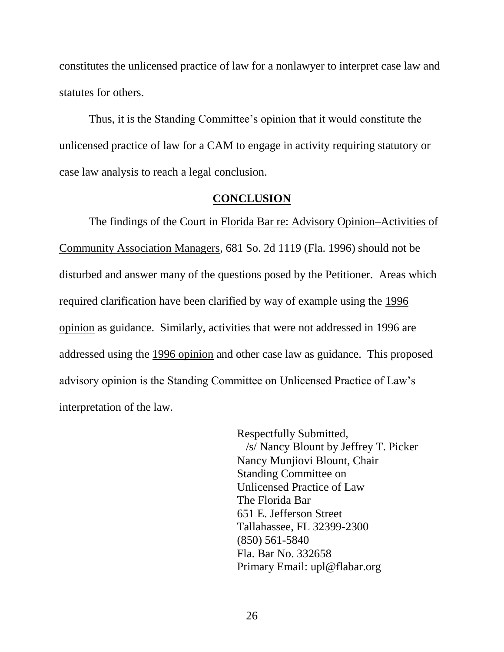constitutes the unlicensed practice of law for a nonlawyer to interpret case law and statutes for others.

Thus, it is the Standing Committee's opinion that it would constitute the unlicensed practice of law for a CAM to engage in activity requiring statutory or case law analysis to reach a legal conclusion.

#### **CONCLUSION**

The findings of the Court in Florida Bar re: Advisory Opinion–Activities of Community Association Managers*,* 681 So. 2d 1119 (Fla. 1996) should not be disturbed and answer many of the questions posed by the Petitioner. Areas which required clarification have been clarified by way of example using the 1996 opinion as guidance. Similarly, activities that were not addressed in 1996 are addressed using the 1996 opinion and other case law as guidance. This proposed advisory opinion is the Standing Committee on Unlicensed Practice of Law's interpretation of the law.

> Respectfully Submitted, /s/ Nancy Blount by Jeffrey T. Picker Nancy Munjiovi Blount, Chair Standing Committee on Unlicensed Practice of Law The Florida Bar 651 E. Jefferson Street Tallahassee, FL 32399-2300 (850) 561-5840 Fla. Bar No. 332658 Primary Email: upl@flabar.org